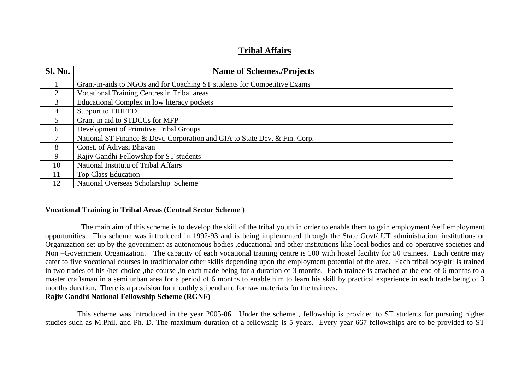# **Tribal Affairs**

| <b>Sl. No.</b> | <b>Name of Schemes./Projects</b>                                           |
|----------------|----------------------------------------------------------------------------|
|                | Grant-in-aids to NGOs and for Coaching ST students for Competitive Exams   |
| 2              | <b>Vocational Training Centres in Tribal areas</b>                         |
| 3              | Educational Complex in low literacy pockets                                |
| $\overline{4}$ | <b>Support to TRIFED</b>                                                   |
| 5              | Grant-in aid to STDCCs for MFP                                             |
| 6              | Development of Primitive Tribal Groups                                     |
|                | National ST Finance & Devt. Corporation and GIA to State Dev. & Fin. Corp. |
| 8              | Const. of Adivasi Bhavan                                                   |
| 9              | Rajiv Gandhi Fellowship for ST students                                    |
| 10             | National Institutu of Tribal Affairs                                       |
| 11             | <b>Top Class Education</b>                                                 |
| 12             | National Overseas Scholarship Scheme                                       |

## **Vocational Training in Tribal Areas (Central Sector Scheme )**

 The main aim of this scheme is to develop the skill of the tribal youth in order to enable them to gain employment /self employment opportunities. This scheme was introduced in 1992-93 and is being implemented through the State Govt/ UT administration, institutions or Organization set up by the government as autonomous bodies ,educational and other institutions like local bodies and co-operative societies and Non –Government Organization. The capacity of each vocational training centre is 100 with hostel facility for 50 trainees. Each centre may cater to five vocational courses in traditionalor other skills depending upon the employment potential of the area. Each tribal boy/girl is trained in two trades of his /her choice ,the course ,in each trade being for a duration of 3 months. Each trainee is attached at the end of 6 months to a master craftsman in a semi urban area for a period of 6 months to enable him to learn his skill by practical experience in each trade being of 3 months duration. There is a provision for monthly stipend and for raw materials for the trainees.

## **Rajiv Gandhi National Fellowship Scheme (RGNF)**

 This scheme was introduced in the year 2005-06. Under the scheme , fellowship is provided to ST students for pursuing higher studies such as M.Phil. and Ph. D. The maximum duration of a fellowship is 5 years. Every year 667 fellowships are to be provided to ST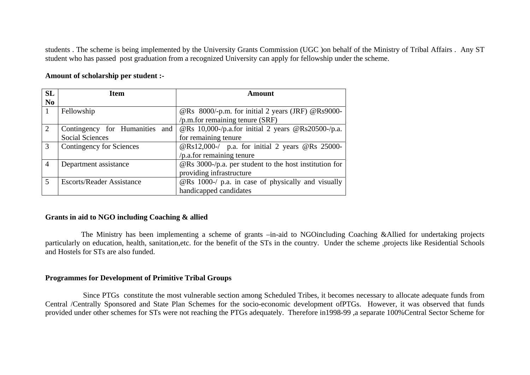students . The scheme is being implemented by the University Grants Commission (UGC )on behalf of the Ministry of Tribal Affairs . Any ST student who has passed post graduation from a recognized University can apply for fellowship under the scheme.

## **Amount of scholarship per student :-**

| <b>SL</b>      | Item                              | Amount                                                        |
|----------------|-----------------------------------|---------------------------------------------------------------|
| N <sub>0</sub> |                                   |                                                               |
|                | Fellowship                        | @Rs 8000/-p.m. for initial 2 years (JRF) @Rs9000-             |
|                |                                   | $/p.m.$ for remaining tenure (SRF)                            |
| 2              | Contingency for Humanities<br>and | @Rs 10,000-/p.a.for initial 2 years @Rs20500-/p.a.            |
|                | <b>Social Sciences</b>            | for remaining tenure                                          |
| 3              | <b>Contingency for Sciences</b>   | @Rs12,000-/ p.a. for initial 2 years @Rs 25000-               |
|                |                                   | /p.a.for remaining tenure                                     |
| $\overline{4}$ | Department assistance             | $\circ$ Rs 3000-/p.a. per student to the host institution for |
|                |                                   | providing infrastructure                                      |
| 5              | <b>Escorts/Reader Assistance</b>  | @Rs 1000-/ p.a. in case of physically and visually            |
|                |                                   | handicapped candidates                                        |

## **Grants in aid to NGO including Coaching & allied**

 The Ministry has been implementing a scheme of grants –in-aid to NGOincluding Coaching &Allied for undertaking projects particularly on education, health, sanitation,etc. for the benefit of the STs in the country. Under the scheme ,projects like Residential Schools and Hostels for STs are also funded.

#### **Programmes for Development of Primitive Tribal Groups**

Since PTGs constitute the most vulnerable section among Scheduled Tribes, it becomes necessary to allocate adequate funds from Central /Centrally Sponsored and State Plan Schemes for the socio-economic development ofPTGs. However, it was observed that funds provided under other schemes for STs were not reaching the PTGs adequately. Therefore in1998-99 ,a separate 100%Central Sector Scheme for